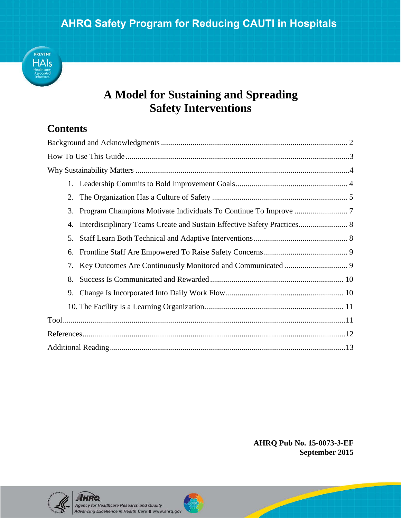

# **A Model for Sustaining and Spreading Safety Interventions**

## **Contents**

| 2.  |
|-----|
| 3.  |
| 4.  |
| .5. |
| 6.  |
| 7.  |
| 8.  |
| 9.  |
|     |
|     |
|     |
|     |

**AHRQ Pub No. 15-0073-3-EF September 2015** 



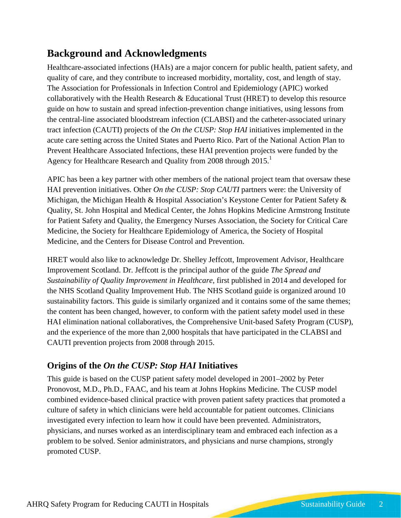# <span id="page-1-0"></span>**Background and Acknowledgments**

Healthcare-associated infections (HAIs) are a major concern for public health, patient safety, and quality of care, and they contribute to increased morbidity, mortality, cost, and length of stay. The Association for Professionals in Infection Control and Epidemiology (APIC) worked collaboratively with the Health Research & Educational Trust (HRET) to develop this resource guide on how to sustain and spread infection-prevention change initiatives, using lessons from the central-line associated bloodstream infection (CLABSI) and the catheter-associated urinary tract infection (CAUTI) projects of the *On the CUSP: Stop HAI* initiatives implemented in the acute care setting across the United States and Puerto Rico. Part of the National Action Plan to Prevent Healthcare Associated Infections, these HAI prevention projects were funded by the Agency for Healthcare Research and Quality from 2008 through 2015.<sup>1</sup>

APIC has been a key partner with other members of the national project team that oversaw these HAI prevention initiatives. Other *On the CUSP: Stop CAUTI* partners were: the University of Michigan, the Michigan Health & Hospital Association's Keystone Center for Patient Safety & Quality, St. John Hospital and Medical Center, the Johns Hopkins Medicine Armstrong Institute for Patient Safety and Quality, the Emergency Nurses Association, the Society for Critical Care Medicine, the Society for Healthcare Epidemiology of America, the Society of Hospital Medicine, and the Centers for Disease Control and Prevention.

HRET would also like to acknowledge Dr. Shelley Jeffcott, Improvement Advisor, Healthcare Improvement Scotland. Dr. Jeffcott is the principal author of the guide *The Spread and Sustainability of Quality Improvement in Healthcare*, first published in 2014 and developed for the NHS Scotland Quality Improvement Hub. The NHS Scotland guide is organized around 10 sustainability factors. This guide is similarly organized and it contains some of the same themes; the content has been changed, however, to conform with the patient safety model used in these HAI elimination national collaboratives, the Comprehensive Unit-based Safety Program (CUSP), and the experience of the more than 2,000 hospitals that have participated in the CLABSI and CAUTI prevention projects from 2008 through 2015.

## **Origins of the** *On the CUSP: Stop HAI* **Initiatives**

This guide is based on the CUSP patient safety model developed in 2001–2002 by Peter Pronovost, M.D., Ph.D., FAAC, and his team at Johns Hopkins Medicine. The CUSP model combined evidence-based clinical practice with proven patient safety practices that promoted a culture of safety in which clinicians were held accountable for patient outcomes. Clinicians investigated every infection to learn how it could have been prevented. Administrators, physicians, and nurses worked as an interdisciplinary team and embraced each infection as a problem to be solved. Senior administrators, and physicians and nurse champions, strongly promoted CUSP.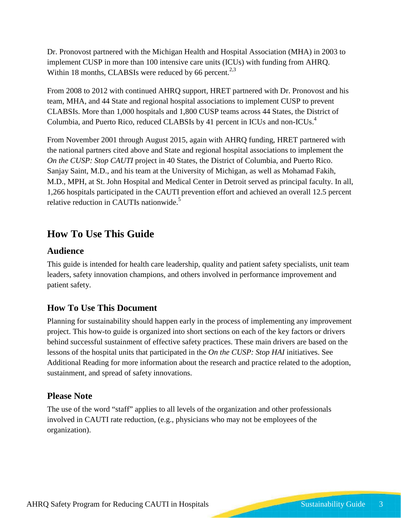Dr. Pronovost partnered with the Michigan Health and Hospital Association (MHA) in 2003 to implement CUSP in more than 100 intensive care units (ICUs) with funding from AHRQ. Within 18 months, CLABSIs were reduced by 66 percent. $2,3$ 

From 2008 to 2012 with continued AHRQ support, HRET partnered with Dr. Pronovost and his team, MHA, and 44 State and regional hospital associations to implement CUSP to prevent CLABSIs. More than 1,000 hospitals and 1,800 CUSP teams across 44 States, the District of Columbia, and Puerto Rico, reduced CLABSIs by 41 percent in ICUs and non-ICUs.<sup>4</sup>

From November 2001 through August 2015, again with AHRQ funding, HRET partnered with the national partners cited above and State and regional hospital associations to implement the *On the CUSP: Stop CAUTI* project in 40 States, the District of Columbia, and Puerto Rico. Sanjay Saint, M.D., and his team at the University of Michigan, as well as Mohamad Fakih, M.D., MPH, at St. John Hospital and Medical Center in Detroit served as principal faculty. In all, 1,266 hospitals participated in the CAUTI prevention effort and achieved an overall 12.5 percent relative reduction in CAUTIs nationwide.<sup>5</sup>

## <span id="page-2-0"></span>**How To Use This Guide**

### **Audience**

This guide is intended for health care leadership, quality and patient safety specialists, unit team leaders, safety innovation champions, and others involved in performance improvement and patient safety.

### **How To Use This Document**

Planning for sustainability should happen early in the process of implementing any improvement project. This how-to guide is organized into short sections on each of the key factors or drivers behind successful sustainment of effective safety practices. These main drivers are based on the lessons of the hospital units that participated in the *On the CUSP: Stop HAI* initiatives. See Additional Reading for more information about the research and practice related to the adoption, sustainment, and spread of safety innovations.

#### **Please Note**

The use of the word "staff" applies to all levels of the organization and other professionals involved in CAUTI rate reduction, (e.g., physicians who may not be employees of the organization).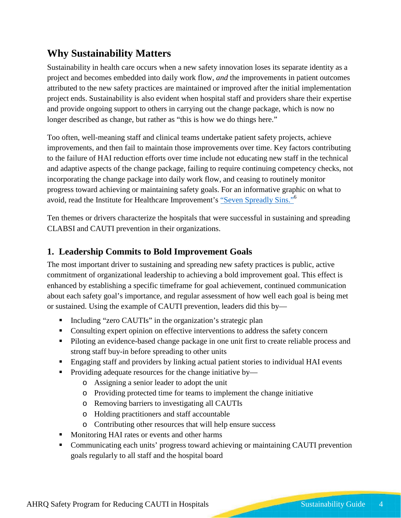# <span id="page-3-0"></span>**Why Sustainability Matters**

Sustainability in health care occurs when a new safety innovation loses its separate identity as a project and becomes embedded into daily work flow, *and* the improvements in patient outcomes attributed to the new safety practices are maintained or improved after the initial implementation project ends. Sustainability is also evident when hospital staff and providers share their expertise and provide ongoing support to others in carrying out the change package, which is now no longer described as change, but rather as "this is how we do things here."

Too often, well-meaning staff and clinical teams undertake patient safety projects, achieve improvements, and then fail to maintain those improvements over time. Key factors contributing to the failure of HAI reduction efforts over time include not educating new staff in the technical and adaptive aspects of the change package, failing to require continuing competency checks, not incorporating the change package into daily work flow, and ceasing to routinely monitor progress toward achieving or maintaining safety goals. For an informative graphic on what to avoid, read the Institute for Healthcare Improvement's ["Seven Spreadly Sins."6](http://www.ihi.org/resources/Pages/Tools/IHISevenSpreadlySins.aspx)

Ten themes or drivers characterize the hospitals that were successful in sustaining and spreading CLABSI and CAUTI prevention in their organizations.

### <span id="page-3-1"></span>**1. Leadership Commits to Bold Improvement Goals**

The most important driver to sustaining and spreading new safety practices is public, active commitment of organizational leadership to achieving a bold improvement goal. This effect is enhanced by establishing a specific timeframe for goal achievement, continued communication about each safety goal's importance, and regular assessment of how well each goal is being met or sustained. Using the example of CAUTI prevention, leaders did this by—

- Including "zero CAUTIs" in the organization's strategic plan
- Consulting expert opinion on effective interventions to address the safety concern
- **Piloting an evidence-based change package in one unit first to create reliable process and** strong staff buy-in before spreading to other units
- **Engaging staff and providers by linking actual patient stories to individual HAI events**
- **Providing adequate resources for the change initiative by**
	- o Assigning a senior leader to adopt the unit
	- o Providing protected time for teams to implement the change initiative
	- o Removing barriers to investigating all CAUTIs
	- o Holding practitioners and staff accountable
	- o Contributing other resources that will help ensure success
- **Monitoring HAI rates or events and other harms**
- Communicating each units' progress toward achieving or maintaining CAUTI prevention goals regularly to all staff and the hospital board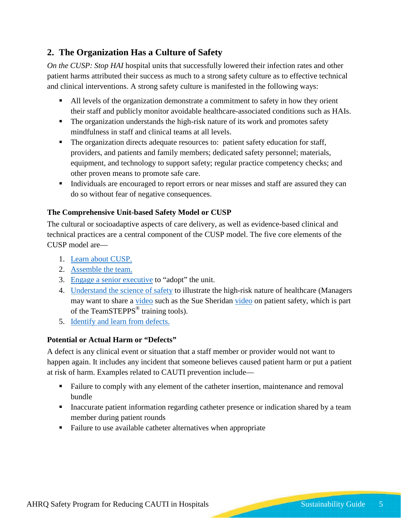## <span id="page-4-0"></span>**2. The Organization Has a Culture of Safety**

*On the CUSP: Stop HAI* hospital units that successfully lowered their infection rates and other patient harms attributed their success as much to a strong safety culture as to effective technical and clinical interventions. A strong safety culture is manifested in the following ways:

- All levels of the organization demonstrate a commitment to safety in how they orient their staff and publicly monitor avoidable healthcare-associated conditions such as HAIs.
- The organization understands the high-risk nature of its work and promotes safety mindfulness in staff and clinical teams at all levels.
- The organization directs adequate resources to: patient safety education for staff, providers, and patients and family members; dedicated safety personnel; materials, equipment, and technology to support safety; regular practice competency checks; and other proven means to promote safe care.
- Individuals are encouraged to report errors or near misses and staff are assured they can do so without fear of negative consequences.

#### **The Comprehensive Unit-based Safety Model or CUSP**

The cultural or socioadaptive aspects of care delivery, as well as evidence-based clinical and technical practices are a central component of the CUSP model. The five core elements of the CUSP model are—

- 1. [Learn about CUSP.](http://www.ahrq.gov/professionals/education/curriculum-tools/cusptoolkit/modules/learn/index.html)
- 2. [Assemble the team.](http://www.ahrq.gov/professionals/education/curriculum-tools/cusptoolkit/modules/assemble/index.html)
- 3. [Engage a senior executive](http://www.ahrq.gov/professionals/education/curriculum-tools/cusptoolkit/modules/engage/index.html) to "adopt" the unit.
- 4. [Understand the science of safety](http://www.ahrq.gov/professionals/education/curriculum-tools/cusptoolkit/modules/understand/index.html) to illustrate the high-risk nature of healthcare (Managers may want to share a [video](http://www.ahrq.gov/professionals/education/curriculum-tools/cusptoolkit/modules/identify/index.html) such as the Sue Sheridan [video](https://www.youtube.com/watch?v=Hgug-ShbqDs) on patient safety, which is part of the TeamSTEPPS<sup>®</sup> training tools).
- 5. [Identify and learn from defects.](http://www.ahrq.gov/professionals/education/curriculum-tools/cusptoolkit/modules/identify/index.html)

#### **Potential or Actual Harm or "Defects"**

A defect is any clinical event or situation that a staff member or provider would not want to happen again. It includes any incident that someone believes caused patient harm or put a patient at risk of harm. Examples related to CAUTI prevention include—

- Failure to comply with any element of the catheter insertion, maintenance and removal bundle
- Inaccurate patient information regarding catheter presence or indication shared by a team member during patient rounds
- **Failure to use available catheter alternatives when appropriate**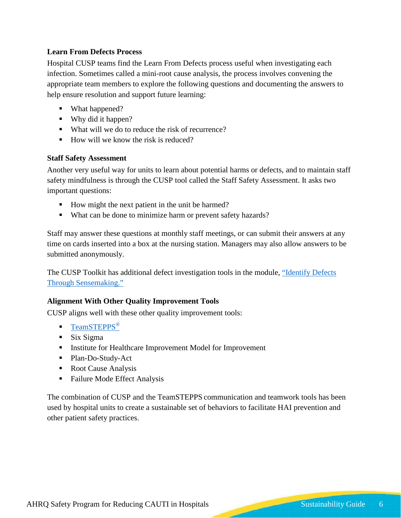#### **Learn From Defects Process**

Hospital CUSP teams find the Learn From Defects process useful when investigating each infection. Sometimes called a mini-root cause analysis, the process involves convening the appropriate team members to explore the following questions and documenting the answers to help ensure resolution and support future learning:

- What happened?
- Why did it happen?
- What will we do to reduce the risk of recurrence?
- $\blacksquare$  How will we know the risk is reduced?

#### **Staff Safety Assessment**

Another very useful way for units to learn about potential harms or defects, and to maintain staff safety mindfulness is through the CUSP tool called the Staff Safety Assessment. It asks two important questions:

- How might the next patient in the unit be harmed?
- What can be done to minimize harm or prevent safety hazards?

Staff may answer these questions at monthly staff meetings, or can submit their answers at any time on cards inserted into a box at the nursing station. Managers may also allow answers to be submitted anonymously.

The CUSP Toolkit has additional defect investigation tools in the module, ["Identify Defects](http://www.ahrq.gov/professionals/education/curriculum-tools/cusptoolkit/modules/identify/index.html)  [Through Sensemaking."](http://www.ahrq.gov/professionals/education/curriculum-tools/cusptoolkit/modules/identify/index.html)

#### **Alignment With Other Quality Improvement Tools**

CUSP aligns well with these other quality improvement tools:

- **[TeamSTEPPS](http://teamstepps.ahrq.gov/)®**
- $\blacksquare$  Six Sigma
- **Institute for Healthcare Improvement Model for Improvement**
- Plan-Do-Study-Act
- Root Cause Analysis
- Failure Mode Effect Analysis

The combination of CUSP and the TeamSTEPPS communication and teamwork tools has been used by hospital units to create a sustainable set of behaviors to facilitate HAI prevention and other patient safety practices.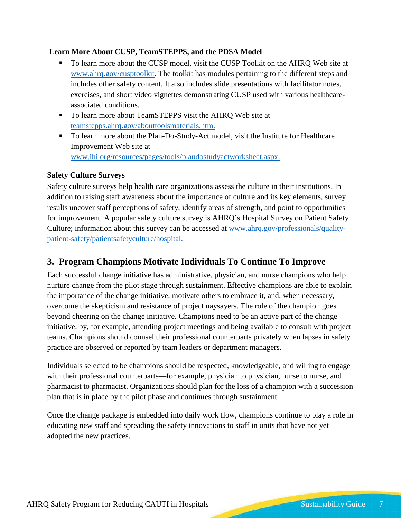#### **Learn More About CUSP, TeamSTEPPS, and the PDSA Model**

- To learn more about the CUSP model, visit the CUSP Toolkit on the AHRQ Web site at [www.ahrq.gov/cusptoolkit.](http://www.ahrq.gov/cusptoolkit/) The toolkit has modules pertaining to the different steps and includes other safety content. It also includes slide presentations with facilitator notes, exercises, and short video vignettes demonstrating CUSP used with various healthcareassociated conditions.
- To learn more about TeamSTEPPS visit the AHRQ Web site at [teamstepps.ahrq.gov/abouttoolsmaterials.htm.](http://teamstepps.ahrq.gov/abouttoolsmaterials.htm)
- To learn more about the Plan-Do-Study-Act model, visit the Institute for Healthcare Improvement Web site at [www.ihi.org/resources/pages/tools/plandostudyactworksheet.aspx.](http://www.ihi.org/resources/pages/tools/plandostudyactworksheet.aspx)

#### **Safety Culture Surveys**

Safety culture surveys help health care organizations assess the culture in their institutions. In addition to raising staff awareness about the importance of culture and its key elements, survey results uncover staff perceptions of safety, identify areas of strength, and point to opportunities for improvement. A popular safety culture survey is AHRQ's Hospital Survey on Patient Safety Culture; information about this survey can be accessed at [www.ahrq.gov/professionals/quality](http://www.ahrq.gov/professionals/quality-patient-safety/patientsafetyculture/hospital/index.html)[patient-safety/patientsafetyculture/hospital.](http://www.ahrq.gov/professionals/quality-patient-safety/patientsafetyculture/hospital/index.html)

### <span id="page-6-0"></span>**3. Program Champions Motivate Individuals To Continue To Improve**

Each successful change initiative has administrative, physician, and nurse champions who help nurture change from the pilot stage through sustainment. Effective champions are able to explain the importance of the change initiative, motivate others to embrace it, and, when necessary, overcome the skepticism and resistance of project naysayers. The role of the champion goes beyond cheering on the change initiative. Champions need to be an active part of the change initiative, by, for example, attending project meetings and being available to consult with project teams. Champions should counsel their professional counterparts privately when lapses in safety practice are observed or reported by team leaders or department managers.

Individuals selected to be champions should be respected, knowledgeable, and willing to engage with their professional counterparts—for example, physician to physician, nurse to nurse, and pharmacist to pharmacist. Organizations should plan for the loss of a champion with a succession plan that is in place by the pilot phase and continues through sustainment.

Once the change package is embedded into daily work flow, champions continue to play a role in educating new staff and spreading the safety innovations to staff in units that have not yet adopted the new practices.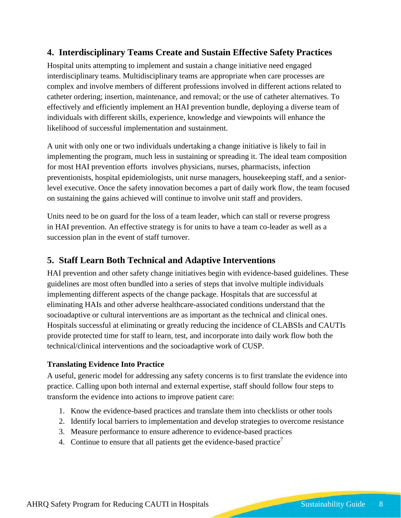### <span id="page-7-0"></span>**4. Interdisciplinary Teams Create and Sustain Effective Safety Practices**

Hospital units attempting to implement and sustain a change initiative need engaged interdisciplinary teams. Multidisciplinary teams are appropriate when care processes are complex and involve members of different professions involved in different actions related to catheter ordering; insertion, maintenance, and removal; or the use of catheter alternatives. To effectively and efficiently implement an HAI prevention bundle, deploying a diverse team of individuals with different skills, experience, knowledge and viewpoints will enhance the likelihood of successful implementation and sustainment.

A unit with only one or two individuals undertaking a change initiative is likely to fail in implementing the program, much less in sustaining or spreading it. The ideal team composition for most HAI prevention efforts involves physicians, nurses, pharmacists, infection preventionists, hospital epidemiologists, unit nurse managers, housekeeping staff, and a seniorlevel executive. Once the safety innovation becomes a part of daily work flow, the team focused on sustaining the gains achieved will continue to involve unit staff and providers.

Units need to be on guard for the loss of a team leader, which can stall or reverse progress in HAI prevention. An effective strategy is for units to have a team co-leader as well as a succession plan in the event of staff turnover.

#### <span id="page-7-1"></span>**5. Staff Learn Both Technical and Adaptive Interventions**

HAI prevention and other safety change initiatives begin with evidence-based guidelines. These guidelines are most often bundled into a series of steps that involve multiple individuals implementing different aspects of the change package. Hospitals that are successful at eliminating HAIs and other adverse healthcare-associated conditions understand that the socioadaptive or cultural interventions are as important as the technical and clinical ones. Hospitals successful at eliminating or greatly reducing the incidence of CLABSIs and CAUTIs provide protected time for staff to learn, test, and incorporate into daily work flow both the technical/clinical interventions and the socioadaptive work of CUSP.

#### **Translating Evidence Into Practice**

A useful, generic model for addressing any safety concerns is to first translate the evidence into practice. Calling upon both internal and external expertise, staff should follow four steps to transform the evidence into actions to improve patient care:

- 1. Know the evidence-based practices and translate them into checklists or other tools
- 2. Identify local barriers to implementation and develop strategies to overcome resistance
- 3. Measure performance to ensure adherence to evidence-based practices
- 4. Continue to ensure that all patients get the evidence-based practice<sup>7</sup>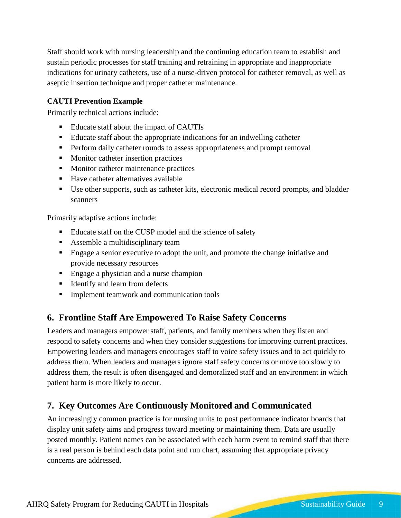Staff should work with nursing leadership and the continuing education team to establish and sustain periodic processes for staff training and retraining in appropriate and inappropriate indications for urinary catheters, use of a nurse-driven protocol for catheter removal, as well as aseptic insertion technique and proper catheter maintenance.

#### **CAUTI Prevention Example**

Primarily technical actions include:

- Educate staff about the impact of CAUTIs
- Educate staff about the appropriate indications for an indwelling catheter
- **Perform daily catheter rounds to assess appropriateness and prompt removal**
- **Monitor catheter insertion practices**
- **Monitor catheter maintenance practices**
- Have catheter alternatives available
- Use other supports, such as catheter kits, electronic medical record prompts, and bladder scanners

Primarily adaptive actions include:

- Educate staff on the CUSP model and the science of safety
- Assemble a multidisciplinary team
- Engage a senior executive to adopt the unit, and promote the change initiative and provide necessary resources
- Engage a physician and a nurse champion
- **IDENTIFY and learn from defects**
- **Implement teamwork and communication tools**

#### <span id="page-8-0"></span>**6. Frontline Staff Are Empowered To Raise Safety Concerns**

Leaders and managers empower staff, patients, and family members when they listen and respond to safety concerns and when they consider suggestions for improving current practices. Empowering leaders and managers encourages staff to voice safety issues and to act quickly to address them. When leaders and managers ignore staff safety concerns or move too slowly to address them, the result is often disengaged and demoralized staff and an environment in which patient harm is more likely to occur.

### <span id="page-8-1"></span>**7. Key Outcomes Are Continuously Monitored and Communicated**

An increasingly common practice is for nursing units to post performance indicator boards that display unit safety aims and progress toward meeting or maintaining them. Data are usually posted monthly. Patient names can be associated with each harm event to remind staff that there is a real person is behind each data point and run chart, assuming that appropriate privacy concerns are addressed.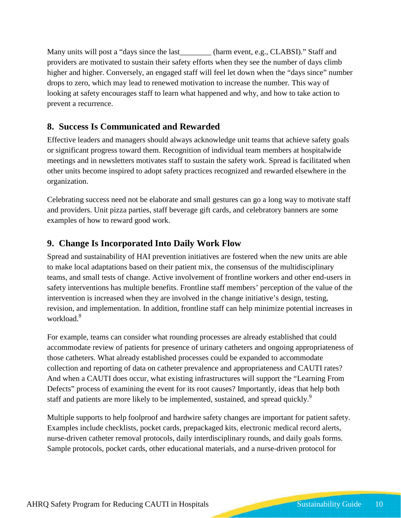Many units will post a "days since the last\_\_\_\_\_\_\_\_ (harm event, e.g., CLABSI)." Staff and providers are motivated to sustain their safety efforts when they see the number of days climb higher and higher. Conversely, an engaged staff will feel let down when the "days since" number drops to zero, which may lead to renewed motivation to increase the number. This way of looking at safety encourages staff to learn what happened and why, and how to take action to prevent a recurrence.

### <span id="page-9-0"></span>**8. Success Is Communicated and Rewarded**

Effective leaders and managers should always acknowledge unit teams that achieve safety goals or significant progress toward them. Recognition of individual team members at hospitalwide meetings and in newsletters motivates staff to sustain the safety work. Spread is facilitated when other units become inspired to adopt safety practices recognized and rewarded elsewhere in the organization.

Celebrating success need not be elaborate and small gestures can go a long way to motivate staff and providers. Unit pizza parties, staff beverage gift cards, and celebratory banners are some examples of how to reward good work.

### <span id="page-9-1"></span>**9. Change Is Incorporated Into Daily Work Flow**

Spread and sustainability of HAI prevention initiatives are fostered when the new units are able to make local adaptations based on their patient mix, the consensus of the multidisciplinary teams, and small tests of change. Active involvement of frontline workers and other end-users in safety interventions has multiple benefits. Frontline staff members' perception of the value of the intervention is increased when they are involved in the change initiative's design, testing, revision, and implementation. In addition, frontline staff can help minimize potential increases in workload<sup>8</sup>

For example, teams can consider what rounding processes are already established that could accommodate review of patients for presence of urinary catheters and ongoing appropriateness of those catheters. What already established processes could be expanded to accommodate collection and reporting of data on catheter prevalence and appropriateness and CAUTI rates? And when a CAUTI does occur, what existing infrastructures will support the "Learning From Defects" process of examining the event for its root causes? Importantly, ideas that help both staff and patients are more likely to be implemented, sustained, and spread quickly.<sup>9</sup>

Multiple supports to help foolproof and hardwire safety changes are important for patient safety. Examples include checklists, pocket cards, prepackaged kits, electronic medical record alerts, nurse-driven catheter removal protocols, daily interdisciplinary rounds, and daily goals forms. Sample protocols, pocket cards, other educational materials, and a nurse-driven protocol for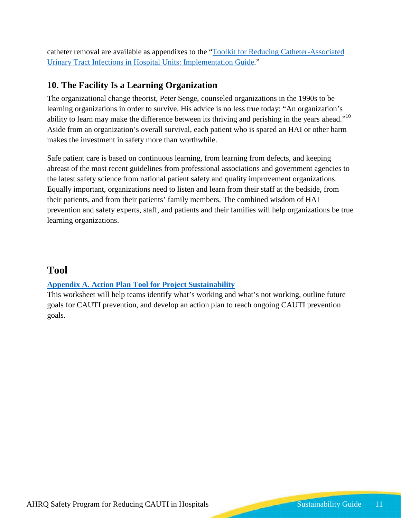catheter removal are available as appendixes to the ["Toolkit for Reducing Catheter-Associated](http://www.ahrq.gov/professionals/quality-patient-safety/hais/tools/cauti-hospitals/toolkit-impl.html)  [Urinary Tract Infections in Hospital Units: Implementation Guide.](http://www.ahrq.gov/professionals/quality-patient-safety/hais/tools/cauti-hospitals/toolkit-impl.html)"

## <span id="page-10-0"></span>**10. The Facility Is a Learning Organization**

The organizational change theorist, Peter Senge, counseled organizations in the 1990s to be learning organizations in order to survive. His advice is no less true today: "An organization's ability to learn may make the difference between its thriving and perishing in the years ahead."<sup>10</sup> Aside from an organization's overall survival, each patient who is spared an HAI or other harm makes the investment in safety more than worthwhile.

Safe patient care is based on continuous learning, from learning from defects, and keeping abreast of the most recent guidelines from professional associations and government agencies to the latest safety science from national patient safety and quality improvement organizations. Equally important, organizations need to listen and learn from their staff at the bedside, from their patients, and from their patients' family members. The combined wisdom of HAI prevention and safety experts, staff, and patients and their families will help organizations be true learning organizations.

## **Tool**

#### **[Appendix A. Action Plan Tool for Project Sustainability](http://www.ahrq.gov/professionals/quality-patient-safety/hais/tools/cauti-hospitals/toolkit-sustain.html)**

This worksheet will help teams identify what's working and what's not working, outline future goals for CAUTI prevention, and develop an action plan to reach ongoing CAUTI prevention goals.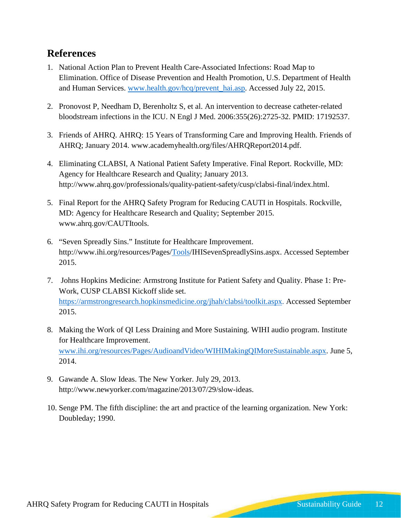## <span id="page-11-0"></span>**References**

- 1. National Action Plan to Prevent Health Care-Associated Infections: Road Map to Elimination. Office of Disease Prevention and Health Promotion, U.S. Department of Health and Human Services. [www.health.gov/hcq/prevent\\_hai.asp.](http://www.health.gov/hcq/prevent_hai.asp) Accessed July 22, 2015.
- 2. Pronovost P, Needham D, Berenholtz S, et al. An intervention to decrease catheter-related bloodstream infections in the ICU. N Engl J Med. 2006:355(26):2725-32. PMID: 17192537.
- 3. Friends of AHRQ. AHRQ: 15 Years of Transforming Care and Improving Health. Friends of AHRQ; January 2014. www.academyhealth.org/files/AHRQReport2014.pdf.
- 4. Eliminating CLABSI, A National Patient Safety Imperative. Final Report. Rockville, MD: Agency for Healthcare Research and Quality; January 2013. http://www.ahrq.gov/professionals/quality-patient-safety/cusp/clabsi-final/index.html.
- 5. Final Report for the AHRQ Safety Program for Reducing CAUTI in Hospitals. Rockville, MD: Agency for Healthcare Research and Quality; September 2015. www.ahrq.gov/CAUTItools.
- 6. "Seven Spreadly Sins." Institute for Healthcare Improvement. http://www.ihi.org/resources/Pages[/Tools/](http://www.ihi.org/resources/Pages/Tools/IHISevenSpreadlySins.aspx)IHISevenSpreadlySins.aspx. Accessed September 2015.
- 7. Johns Hopkins Medicine: Armstrong Institute for Patient Safety and Quality. Phase 1: Pre-Work, CUSP CLABSI Kickoff slide set. [https://armstrongresearch.hopkinsmedicine.org/jhah/clabsi/toolkit.aspx.](https://armstrongresearch.hopkinsmedicine.org/jhah/clabsi/toolkit.aspx) Accessed September 2015.
- 8. Making the Work of QI Less Draining and More Sustaining. WIHI audio program. Institute for Healthcare Improvement. [www.ihi.org/resources/Pages/AudioandVideo/WIHIMakingQIMoreSustainable.aspx.](http://www.ihi.org/resources/Pages/AudioandVideo/WIHIMakingQIMoreSustainable.aspx) June 5, 2014.
- 9. Gawande A. Slow Ideas. The New Yorker. July 29, 2013. http://www.newyorker.com/magazine/2013/07/29/slow-ideas.
- 10. Senge PM. The fifth discipline: the art and practice of the learning organization. New York: Doubleday; 1990.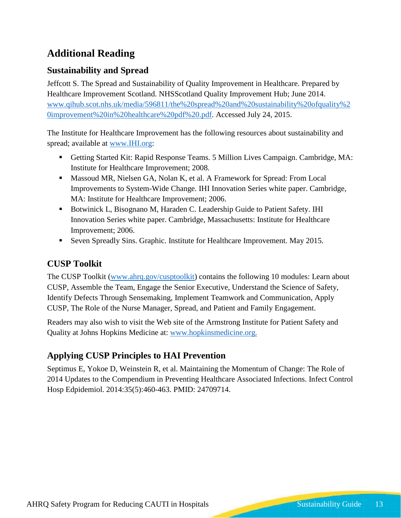# <span id="page-12-0"></span>**Additional Reading**

## **Sustainability and Spread**

Jeffcott S. The Spread and Sustainability of Quality Improvement in Healthcare. Prepared by Healthcare Improvement Scotland. NHSScotland Quality Improvement Hub; June 2014. [www.qihub.scot.nhs.uk/media/596811/the%20spread%20and%20sustainability%20ofquality%2](http://www.qihub.scot.nhs.uk/media/596811/the%20spread%20and%20sustainability%20ofquality%20improvement%20in%20healthcare%20pdf%20.pdf) [0improvement%20in%20healthcare%20pdf%20.pdf.](http://www.qihub.scot.nhs.uk/media/596811/the%20spread%20and%20sustainability%20ofquality%20improvement%20in%20healthcare%20pdf%20.pdf) Accessed July 24, 2015.

The Institute for Healthcare Improvement has the following resources about sustainability and spread; available at [www.IHI.org:](http://www.ihi.org/)

- Getting Started Kit: Rapid Response Teams. 5 Million Lives Campaign. Cambridge, MA: Institute for Healthcare Improvement; 2008.
- Massoud MR, Nielsen GA, Nolan K, et al. A Framework for Spread: From Local Improvements to System-Wide Change. IHI Innovation Series white paper. Cambridge, MA: Institute for Healthcare Improvement; 2006.
- Botwinick L, Bisognano M, Haraden C. Leadership Guide to Patient Safety. IHI Innovation Series white paper. Cambridge, Massachusetts: Institute for Healthcare Improvement; 2006.
- Seven Spreadly Sins. Graphic. Institute for Healthcare Improvement. May 2015.

### **CUSP Toolkit**

The CUSP Toolkit [\(www.ahrq.gov/cusptoolkit\)](http://www.ahrq.gov/cusptoolkit) contains the following 10 modules: Learn about CUSP, Assemble the Team, Engage the Senior Executive, Understand the Science of Safety, Identify Defects Through Sensemaking, Implement Teamwork and Communication, Apply CUSP, The Role of the Nurse Manager, Spread, and Patient and Family Engagement.

Readers may also wish to visit the Web site of the Armstrong Institute for Patient Safety and Quality at Johns Hopkins Medicine at: [www.hopkinsmedicine.org.](http://www.hopkinsmedicine.org/)

## **Applying CUSP Principles to HAI Prevention**

Septimus E, Yokoe D, Weinstein R, et al. Maintaining the Momentum of Change: The Role of 2014 Updates to the Compendium in Preventing Healthcare Associated Infections. Infect Control Hosp Edpidemiol. 2014:35(5):460-463. PMID: 24709714.